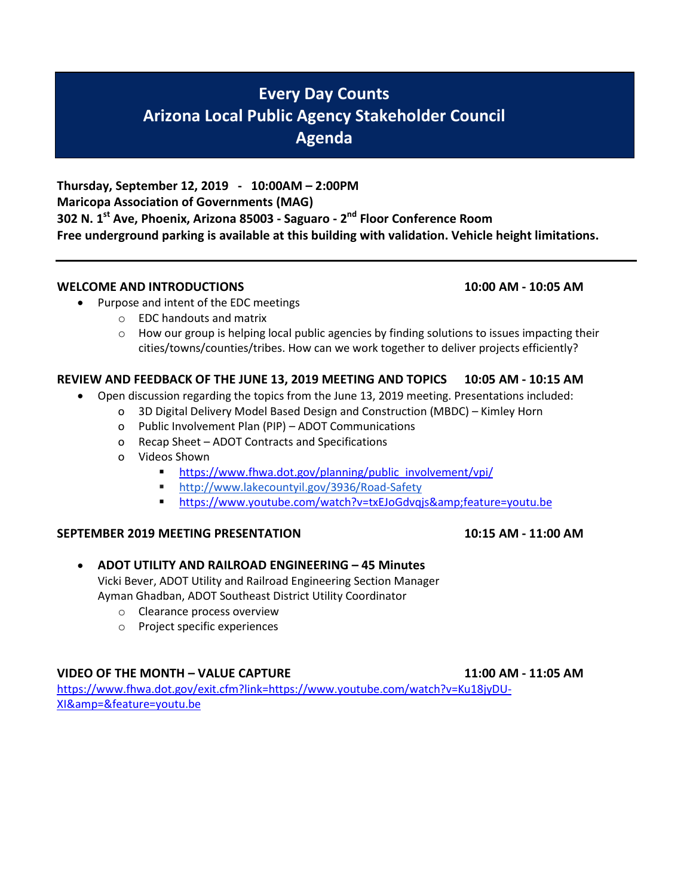# **Every Day Counts Arizona Local Public Agency Stakeholder Council Agenda**

**Thursday, September 12, 2019 - 10:00AM – 2:00PM Maricopa Association of Governments (MAG) 302 N. 1st Ave, Phoenix, Arizona 85003 - Saguaro - 2nd Floor Conference Room Free underground parking is available at this building with validation. Vehicle height limitations.**

#### **WELCOME AND INTRODUCTIONS 10:00 AM - 10:05 AM**

- Purpose and intent of the EDC meetings
	- o EDC handouts and matrix
	- $\circ$  How our group is helping local public agencies by finding solutions to issues impacting their cities/towns/counties/tribes. How can we work together to deliver projects efficiently?

## **REVIEW AND FEEDBACK OF THE JUNE 13, 2019 MEETING AND TOPICS 10:05 AM - 10:15 AM**

- Open discussion regarding the topics from the June 13, 2019 meeting. Presentations included:
	- o 3D Digital Delivery Model Based Design and Construction (MBDC) Kimley Horn
	- o Public Involvement Plan (PIP) ADOT Communications
	- o Recap Sheet ADOT Contracts and Specifications
	- o Videos Shown
		- [https://www.fhwa.dot.gov/planning/public\\_involvement/vpi/](https://www.fhwa.dot.gov/planning/public_involvement/vpi/)
		- <http://www.lakecountyil.gov/3936/Road-Safety>
		- <https://www.youtube.com/watch?v=txEJoGdvqjs&feature=youtu.be>

### **SEPTEMBER 2019 MEETING PRESENTATION 10:15 AM - 11:00 AM**

### • **ADOT UTILITY AND RAILROAD ENGINEERING – 45 Minutes**

Vicki Bever, ADOT Utility and Railroad Engineering Section Manager Ayman Ghadban, ADOT Southeast District Utility Coordinator

- o Clearance process overview
- o Project specific experiences

### **VIDEO OF THE MONTH – VALUE CAPTURE 11:00 AM - 11:05 AM**

https://www.fhwa.dot.gov/exit.cfm?link=https://www.youtube.com/watch?v=Ku18jyDU-XI&amp=&feature=youtu.be